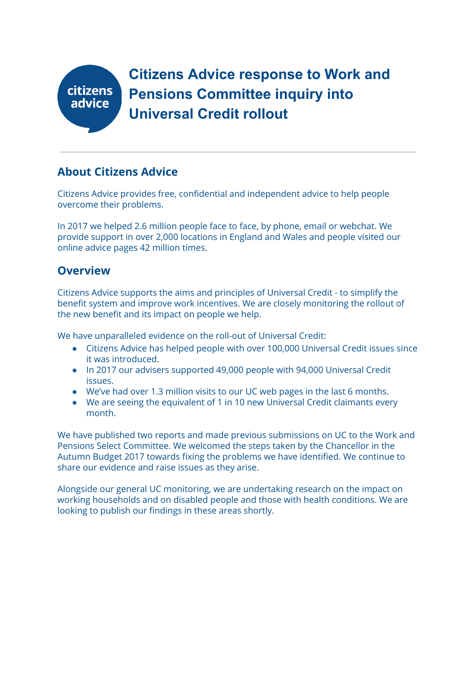

**Citizens Advice response to Work and Pensions Committee inquiry into Universal Credit rollout**

### **About Citizens Advice**

Citizens Advice provides free, confidential and independent advice to help people overcome their problems.

In 2017 we helped 2.6 million people face to face, by phone, email or webchat. We provide support in over 2,000 locations in England and Wales and people visited our online advice pages 42 million times.

#### **Overview**

Citizens Advice supports the aims and principles of Universal Credit - to simplify the benefit system and improve work incentives. We are closely monitoring the rollout of the new benefit and its impact on people we help.

We have unparalleled evidence on the roll-out of Universal Credit:

- Citizens Advice has helped people with over 100,000 Universal Credit issues since it was introduced.
- In 2017 our advisers supported 49,000 people with 94,000 Universal Credit issues.
- We've had over 1.3 million visits to our UC web pages in the last 6 months.
- We are seeing the equivalent of 1 in 10 new Universal Credit claimants every month.

We have published two reports and made previous submissions on UC to the Work and Pensions Select Committee. We welcomed the steps taken by the Chancellor in the Autumn Budget 2017 towards fixing the problems we have identified. We continue to share our evidence and raise issues as they arise.

Alongside our general UC monitoring, we are undertaking research on the impact on working households and on disabled people and those with health conditions. We are looking to publish our findings in these areas shortly.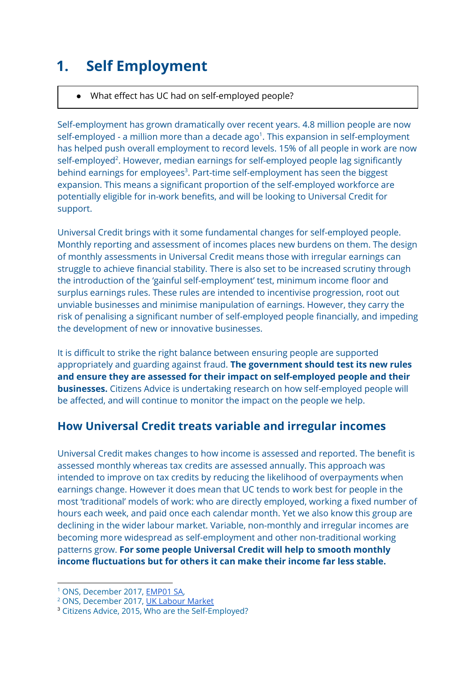## **1. Self Employment**

#### ● What effect has UC had on self-employed people?

Self-employment has grown dramatically over recent years. 4.8 million people are now self-employed - a million more than a decade ago $^1$ . This expansion in self-employment has helped push overall employment to record levels. 15% of all people in work are now  $self$ -employed<sup>2</sup>. However, median earnings for self-employed people lag significantly behind earnings for employees<sup>3</sup>. Part-time self-employment has seen the biggest expansion. This means a significant proportion of the self-employed workforce are potentially eligible for in-work benefits, and will be looking to Universal Credit for support.

Universal Credit brings with it some fundamental changes for self-employed people. Monthly reporting and assessment of incomes places new burdens on them. The design of monthly assessments in Universal Credit means those with irregular earnings can struggle to achieve financial stability. There is also set to be increased scrutiny through the introduction of the 'gainful self-employment' test, minimum income floor and surplus earnings rules. These rules are intended to incentivise progression, root out unviable businesses and minimise manipulation of earnings. However, they carry the risk of penalising a significant number of self-employed people financially, and impeding the development of new or innovative businesses.

It is difficult to strike the right balance between ensuring people are supported appropriately and guarding against fraud. **The government should test its new rules and ensure they are assessed for their impact on self-employed people and their businesses.** Citizens Advice is undertaking research on how self-employed people will be affected, and will continue to monitor the impact on the people we help.

## **How Universal Credit treats variable and irregular incomes**

Universal Credit makes changes to how income is assessed and reported. The benefit is assessed monthly whereas tax credits are assessed annually. This approach was intended to improve on tax credits by reducing the likelihood of overpayments when earnings change. However it does mean that UC tends to work best for people in the most 'traditional' models of work: who are directly employed, working a fixed number of hours each week, and paid once each calendar month. Yet we also know this group are declining in the wider labour market. Variable, non-monthly and irregular incomes are becoming more widespread as self-employment and other non-traditional working patterns grow. **For some people Universal Credit will help to smooth monthly income fluctuations but for others it can make their income far less stable.**

<sup>&</sup>lt;sup>1</sup> ONS, December 2017, **[EMP01](https://www.ons.gov.uk/employmentandlabourmarket/peopleinwork/employmentandemployeetypes/datasets/fulltimeparttimeandtemporaryworkersseasonallyadjustedemp01sa) SA**,

<sup>2</sup> ONS, December 2017, UK [Labour](https://www.ons.gov.uk/employmentandlabourmarket/peopleinwork/employmentandemployeetypes/bulletins/uklabourmarket/december2017) Market

<sup>3</sup> Citizens Advice, 2015, Who are the Self-Employed?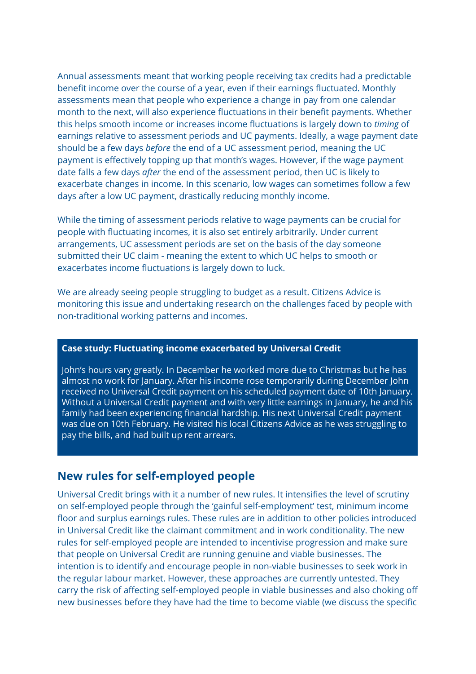Annual assessments meant that working people receiving tax credits had a predictable benefit income over the course of a year, even if their earnings fluctuated. Monthly assessments mean that people who experience a change in pay from one calendar month to the next, will also experience fluctuations in their benefit payments. Whether this helps smooth income or increases income fluctuations is largely down to *timing* of earnings relative to assessment periods and UC payments. Ideally, a wage payment date should be a few days *before* the end of a UC assessment period, meaning the UC payment is effectively topping up that month's wages. However, if the wage payment date falls a few days *after* the end of the assessment period, then UC is likely to exacerbate changes in income. In this scenario, low wages can sometimes follow a few days after a low UC payment, drastically reducing monthly income.

While the timing of assessment periods relative to wage payments can be crucial for people with fluctuating incomes, it is also set entirely arbitrarily. Under current arrangements, UC assessment periods are set on the basis of the day someone submitted their UC claim - meaning the extent to which UC helps to smooth or exacerbates income fluctuations is largely down to luck.

We are already seeing people struggling to budget as a result. Citizens Advice is monitoring this issue and undertaking research on the challenges faced by people with non-traditional working patterns and incomes.

#### **Case study: Fluctuating income exacerbated by Universal Credit**

John's hours vary greatly. In December he worked more due to Christmas but he has almost no work for January. After his income rose temporarily during December John received no Universal Credit payment on his scheduled payment date of 10th January. Without a Universal Credit payment and with very little earnings in January, he and his family had been experiencing financial hardship. His next Universal Credit payment was due on 10th February. He visited his local Citizens Advice as he was struggling to pay the bills, and had built up rent arrears.

### **New rules for self-employed people**

Universal Credit brings with it a number of new rules. It intensifies the level of scrutiny on self-employed people through the 'gainful self-employment' test, minimum income floor and surplus earnings rules. These rules are in addition to other policies introduced in Universal Credit like the claimant commitment and in work conditionality. The new rules for self-employed people are intended to incentivise progression and make sure that people on Universal Credit are running genuine and viable businesses. The intention is to identify and encourage people in non-viable businesses to seek work in the regular labour market. However, these approaches are currently untested. They carry the risk of affecting self-employed people in viable businesses and also choking off new businesses before they have had the time to become viable (we discuss the specific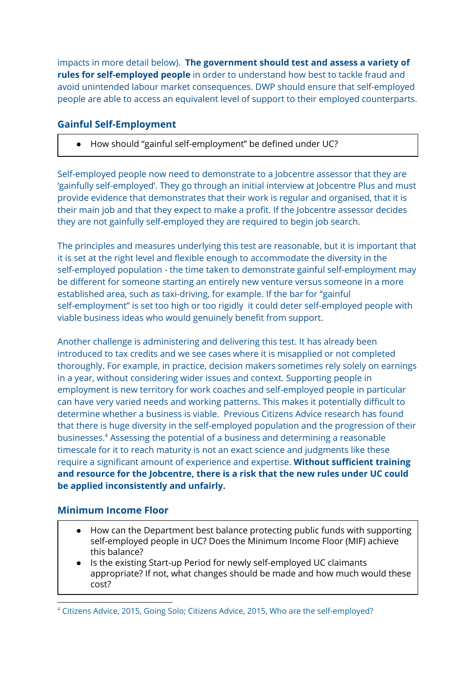impacts in more detail below). **The government should test and assess a variety of rules for self-employed people** in order to understand how best to tackle fraud and avoid unintended labour market consequences. DWP should ensure that self-employed people are able to access an equivalent level of support to their employed counterparts.

#### **Gainful Self-Employment**

● How should "gainful self-employment" be defined under UC?

Self-employed people now need to demonstrate to a Jobcentre assessor that they are 'gainfully self-employed'. They go through an initial interview at Jobcentre Plus and must provide evidence that demonstrates that their work is regular and organised, that it is their main job and that they expect to make a profit. If the Jobcentre assessor decides they are not gainfully self-employed they are required to begin job search.

The principles and measures underlying this test are reasonable, but it is important that it is set at the right level and flexible enough to accommodate the diversity in the self-employed population - the time taken to demonstrate gainful self-employment may be different for someone starting an entirely new venture versus someone in a more established area, such as taxi-driving, for example. If the bar for "gainful self-employment" is set too high or too rigidly it could deter self-employed people with viable business ideas who would genuinely benefit from support.

Another challenge is administering and delivering this test. It has already been introduced to tax credits and we see cases where it is misapplied or not completed thoroughly. For example, in practice, decision makers sometimes rely solely on earnings in a year, without considering wider issues and context. Supporting people in employment is new territory for work coaches and self-employed people in particular can have very varied needs and working patterns. This makes it potentially difficult to determine whether a business is viable. Previous Citizens Advice research has found that there is huge diversity in the self-employed population and the progression of their businesses.<sup>4</sup> Assessing the potential of a business and determining a reasonable timescale for it to reach maturity is not an exact science and judgments like these require a significant amount of experience and expertise. **Without sufficient training and resource for the Jobcentre, there is a risk that the new rules under UC could be applied inconsistently and unfairly.**

#### **Minimum Income Floor**

- How can the Department best balance protecting public funds with supporting self-employed people in UC? Does the Minimum Income Floor (MIF) achieve this balance?
- Is the existing Start-up Period for newly self-employed UC claimants appropriate? If not, what changes should be made and how much would these cost?

<sup>4</sup> Citizens Advice, 2015, Going Solo; Citizens Advice, 2015, Who are the self-employed?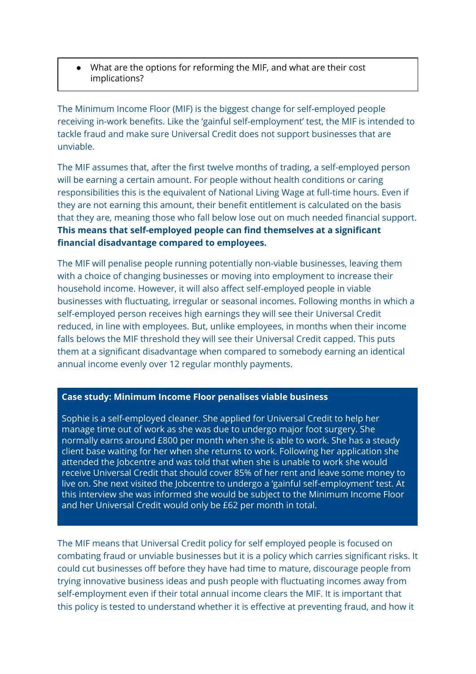● What are the options for reforming the MIF, and what are their cost implications?

The Minimum Income Floor (MIF) is the biggest change for self-employed people receiving in-work benefits. Like the 'gainful self-employment' test, the MIF is intended to tackle fraud and make sure Universal Credit does not support businesses that are unviable.

The MIF assumes that, after the first twelve months of trading, a self-employed person will be earning a certain amount. For people without health conditions or caring responsibilities this is the equivalent of National Living Wage at full-time hours. Even if they are not earning this amount, their benefit entitlement is calculated on the basis that they are, meaning those who fall below lose out on much needed financial support. **This means that self-employed people can find themselves at a significant financial disadvantage compared to employees.**

The MIF will penalise people running potentially non-viable businesses, leaving them with a choice of changing businesses or moving into employment to increase their household income. However, it will also affect self-employed people in viable businesses with fluctuating, irregular or seasonal incomes. Following months in which a self-employed person receives high earnings they will see their Universal Credit reduced, in line with employees. But, unlike employees, in months when their income falls belows the MIF threshold they will see their Universal Credit capped. This puts them at a significant disadvantage when compared to somebody earning an identical annual income evenly over 12 regular monthly payments.

#### **Case study: Minimum Income Floor penalises viable business**

Sophie is a self-employed cleaner. She applied for Universal Credit to help her manage time out of work as she was due to undergo major foot surgery. She normally earns around £800 per month when she is able to work. She has a steady client base waiting for her when she returns to work. Following her application she attended the Jobcentre and was told that when she is unable to work she would receive Universal Credit that should cover 85% of her rent and leave some money to live on. She next visited the Jobcentre to undergo a 'gainful self-employment' test. At this interview she was informed she would be subject to the Minimum Income Floor and her Universal Credit would only be £62 per month in total.

The MIF means that Universal Credit policy for self employed people is focused on combating fraud or unviable businesses but it is a policy which carries significant risks. It could cut businesses off before they have had time to mature, discourage people from trying innovative business ideas and push people with fluctuating incomes away from self-employment even if their total annual income clears the MIF. It is important that this policy is tested to understand whether it is effective at preventing fraud, and how it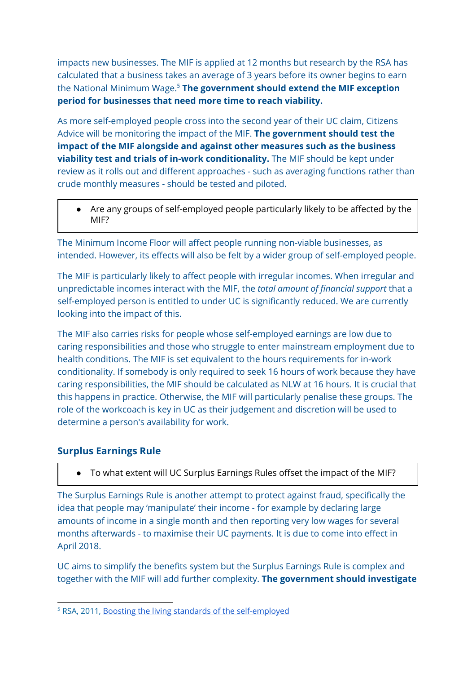impacts new businesses. The MIF is applied at 12 months but research by the RSA has calculated that a business takes an average of 3 years before its owner begins to earn the National Minimum Wage. **The government should extend the MIF exception** 5 **period for businesses that need more time to reach viability.**

As more self-employed people cross into the second year of their UC claim, Citizens Advice will be monitoring the impact of the MIF. **The government should test the impact of the MIF alongside and against other measures such as the business viability test and trials of in-work conditionality.** The MIF should be kept under review as it rolls out and different approaches - such as averaging functions rather than crude monthly measures - should be tested and piloted.

● Are any groups of self-employed people particularly likely to be affected by the MIF?

The Minimum Income Floor will affect people running non-viable businesses, as intended. However, its effects will also be felt by a wider group of self-employed people.

The MIF is particularly likely to affect people with irregular incomes. When irregular and unpredictable incomes interact with the MIF, the *total amount of financial support* that a self-employed person is entitled to under UC is significantly reduced. We are currently looking into the impact of this.

The MIF also carries risks for people whose self-employed earnings are low due to caring responsibilities and those who struggle to enter mainstream employment due to health conditions. The MIF is set equivalent to the hours requirements for in-work conditionality. If somebody is only required to seek 16 hours of work because they have caring responsibilities, the MIF should be calculated as NLW at 16 hours. It is crucial that this happens in practice. Otherwise, the MIF will particularly penalise these groups. The role of the workcoach is key in UC as their judgement and discretion will be used to determine a person's availability for work.

#### **Surplus Earnings Rule**

● To what extent will UC Surplus Earnings Rules offset the impact of the MIF?

The Surplus Earnings Rule is another attempt to protect against fraud, specifically the idea that people may 'manipulate' their income - for example by declaring large amounts of income in a single month and then reporting very low wages for several months afterwards - to maximise their UC payments. It is due to come into effect in April 2018.

UC aims to simplify the benefits system but the Surplus Earnings Rule is complex and together with the MIF will add further complexity. **The government should investigate**

<sup>&</sup>lt;sup>5</sup> RSA, 2011, Boosting the living standards of the [self-employed](https://www.thersa.org/globalassets/pdfs/reports/boosting-the-living-standards-of-the-self-employed-.pdf)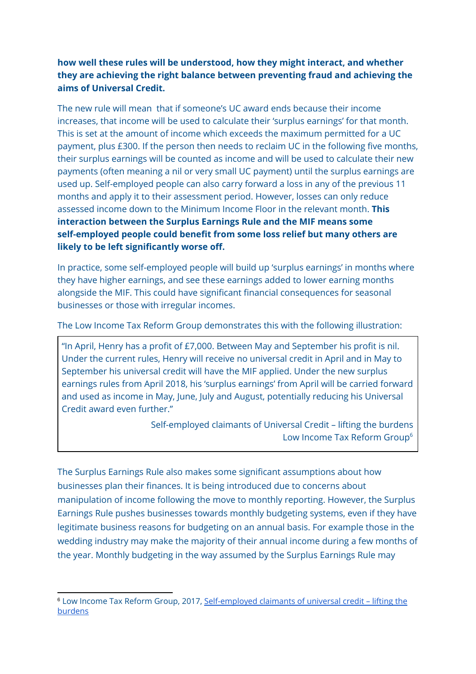#### **how well these rules will be understood, how they might interact, and whether they are achieving the right balance between preventing fraud and achieving the aims of Universal Credit.**

The new rule will mean that if someone's UC award ends because their income increases, that income will be used to calculate their 'surplus earnings' for that month. This is set at the amount of income which exceeds the maximum permitted for a UC payment, plus £300. If the person then needs to reclaim UC in the following five months, their surplus earnings will be counted as income and will be used to calculate their new payments (often meaning a nil or very small UC payment) until the surplus earnings are used up. Self-employed people can also carry forward a loss in any of the previous 11 months and apply it to their assessment period. However, losses can only reduce assessed income down to the Minimum Income Floor in the relevant month. **This interaction between the Surplus Earnings Rule and the MIF means some self-employed people could benefit from some loss relief but many others are likely to be left significantly worse off.**

In practice, some self-employed people will build up 'surplus earnings' in months where they have higher earnings, and see these earnings added to lower earning months alongside the MIF. This could have significant financial consequences for seasonal businesses or those with irregular incomes.

The Low Income Tax Reform Group demonstrates this with the following illustration:

"In April, Henry has a profit of £7,000. Between May and September his profit is nil. Under the current rules, Henry will receive no universal credit in April and in May to September his universal credit will have the MIF applied. Under the new surplus earnings rules from April 2018, his 'surplus earnings' from April will be carried forward and used as income in May, June, July and August, potentially reducing his Universal Credit award even further."

> Self-employed claimants of Universal Credit – lifting the burdens Low Income Tax Reform Group 6

The Surplus Earnings Rule also makes some significant assumptions about how businesses plan their finances. It is being introduced due to concerns about manipulation of income following the move to monthly reporting. However, the Surplus Earnings Rule pushes businesses towards monthly budgeting systems, even if they have legitimate business reasons for budgeting on an annual basis. For example those in the wedding industry may make the majority of their annual income during a few months of the year. Monthly budgeting in the way assumed by the Surplus Earnings Rule may

<sup>6</sup> Low Income Tax Reform Group, 2017, [Self-employed](https://www.litrg.org.uk/latest-news/reports/171030-self-employed-claimants-universal-credit-%E2%80%93-lifting-burdens) claimants of universal credit – lifting the [burdens](https://www.litrg.org.uk/latest-news/reports/171030-self-employed-claimants-universal-credit-%E2%80%93-lifting-burdens)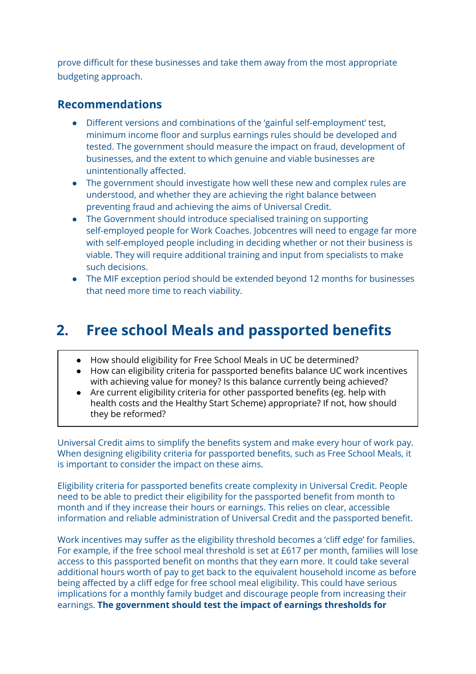prove difficult for these businesses and take them away from the most appropriate budgeting approach.

### **Recommendations**

- Different versions and combinations of the 'gainful self-employment' test, minimum income floor and surplus earnings rules should be developed and tested. The government should measure the impact on fraud, development of businesses, and the extent to which genuine and viable businesses are unintentionally affected.
- The government should investigate how well these new and complex rules are understood, and whether they are achieving the right balance between preventing fraud and achieving the aims of Universal Credit.
- The Government should introduce specialised training on supporting self-employed people for Work Coaches. Jobcentres will need to engage far more with self-employed people including in deciding whether or not their business is viable. They will require additional training and input from specialists to make such decisions.
- The MIF exception period should be extended beyond 12 months for businesses that need more time to reach viability.

## **2. Free school Meals and passported benefits**

- How should eligibility for Free School Meals in UC be determined?
- How can eligibility criteria for passported benefits balance UC work incentives with achieving value for money? Is this balance currently being achieved?
- Are current eligibility criteria for other passported benefits (eg. help with health costs and the Healthy Start Scheme) appropriate? If not, how should they be reformed?

Universal Credit aims to simplify the benefits system and make every hour of work pay. When designing eligibility criteria for passported benefits, such as Free School Meals, it is important to consider the impact on these aims.

Eligibility criteria for passported benefits create complexity in Universal Credit. People need to be able to predict their eligibility for the passported benefit from month to month and if they increase their hours or earnings. This relies on clear, accessible information and reliable administration of Universal Credit and the passported benefit.

Work incentives may suffer as the eligibility threshold becomes a 'cliff edge' for families. For example, if the free school meal threshold is set at £617 per month, families will lose access to this passported benefit on months that they earn more. It could take several additional hours worth of pay to get back to the equivalent household income as before being affected by a cliff edge for free school meal eligibility. This could have serious implications for a monthly family budget and discourage people from increasing their earnings. **The government should test the impact of earnings thresholds for**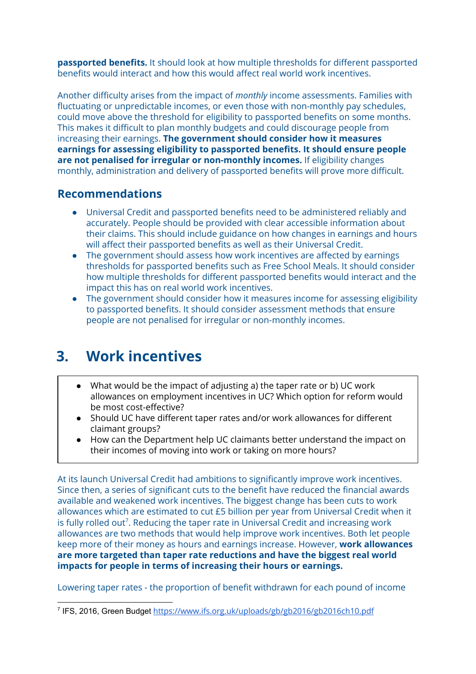**passported benefits.** It should look at how multiple thresholds for different passported benefits would interact and how this would affect real world work incentives.

Another difficulty arises from the impact of *monthly* income assessments. Families with fluctuating or unpredictable incomes, or even those with non-monthly pay schedules, could move above the threshold for eligibility to passported benefits on some months. This makes it difficult to plan monthly budgets and could discourage people from increasing their earnings. **The government should consider how it measures earnings for assessing eligibility to passported benefits. It should ensure people are not penalised for irregular or non-monthly incomes.** If eligibility changes monthly, administration and delivery of passported benefits will prove more difficult.

### **Recommendations**

- Universal Credit and passported benefits need to be administered reliably and accurately. People should be provided with clear accessible information about their claims. This should include guidance on how changes in earnings and hours will affect their passported benefits as well as their Universal Credit.
- The government should assess how work incentives are affected by earnings thresholds for passported benefits such as Free School Meals. It should consider how multiple thresholds for different passported benefits would interact and the impact this has on real world work incentives.
- The government should consider how it measures income for assessing eligibility to passported benefits. It should consider assessment methods that ensure people are not penalised for irregular or non-monthly incomes.

## **3. Work incentives**

- What would be the impact of adjusting a) the taper rate or b) UC work allowances on employment incentives in UC? Which option for reform would be most cost-effective?
- Should UC have different taper rates and/or work allowances for different claimant groups?
- How can the Department help UC claimants better understand the impact on their incomes of moving into work or taking on more hours?

At its launch Universal Credit had ambitions to significantly improve work incentives. Since then, a series of significant cuts to the benefit have reduced the financial awards available and weakened work incentives. The biggest change has been cuts to work allowances which are estimated to cut £5 billion per year from Universal Credit when it is fully rolled out<sup>7</sup>. Reducing the taper rate in Universal Credit and increasing work allowances are two methods that would help improve work incentives. Both let people keep more of their money as hours and earnings increase. However, **work allowances are more targeted than taper rate reductions and have the biggest real world impacts for people in terms of increasing their hours or earnings.**

Lowering taper rates - the proportion of benefit withdrawn for each pound of income

<sup>&</sup>lt;sup>7</sup> IFS, 2016, Green Budget <https://www.ifs.org.uk/uploads/gb/gb2016/gb2016ch10.pdf>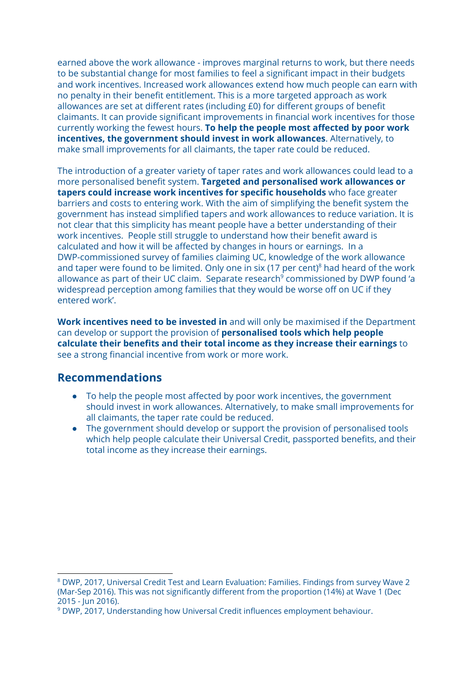earned above the work allowance - improves marginal returns to work, but there needs to be substantial change for most families to feel a significant impact in their budgets and work incentives. Increased work allowances extend how much people can earn with no penalty in their benefit entitlement. This is a more targeted approach as work allowances are set at different rates (including £0) for different groups of benefit claimants. It can provide significant improvements in financial work incentives for those currently working the fewest hours. **To help the people most affected by poor work incentives, the government should invest in work allowances**. Alternatively, to make small improvements for all claimants, the taper rate could be reduced.

The introduction of a greater variety of taper rates and work allowances could lead to a more personalised benefit system. **Targeted and personalised work allowances or tapers could increase work incentives for specific households** who face greater barriers and costs to entering work. With the aim of simplifying the benefit system the government has instead simplified tapers and work allowances to reduce variation. It is not clear that this simplicity has meant people have a better understanding of their work incentives. People still struggle to understand how their benefit award is calculated and how it will be affected by changes in hours or earnings. In a DWP-commissioned survey of families claiming UC, knowledge of the work allowance and taper were found to be limited. Only one in six (17 per cent) $8$  had heard of the work allowance as part of their UC claim. Separate research<sup>9</sup> commissioned by DWP found 'a widespread perception among families that they would be worse off on UC if they entered work'.

**Work incentives need to be invested in** and will only be maximised if the Department can develop or support the provision of **personalised tools which help people calculate their benefits and their total income as they increase their earnings** to see a strong financial incentive from work or more work.

#### **Recommendations**

- To help the people most affected by poor work incentives, the government should invest in work allowances. Alternatively, to make small improvements for all claimants, the taper rate could be reduced.
- The government should develop or support the provision of personalised tools which help people calculate their Universal Credit, passported benefits, and their total income as they increase their earnings.

<sup>8</sup> DWP, 2017, Universal Credit Test and Learn Evaluation: Families. Findings from survey Wave 2 (Mar-Sep 2016). This was not significantly different from the proportion (14%) at Wave 1 (Dec 2015 - Jun 2016).

<sup>9</sup> DWP, 2017, Understanding how Universal Credit influences employment behaviour.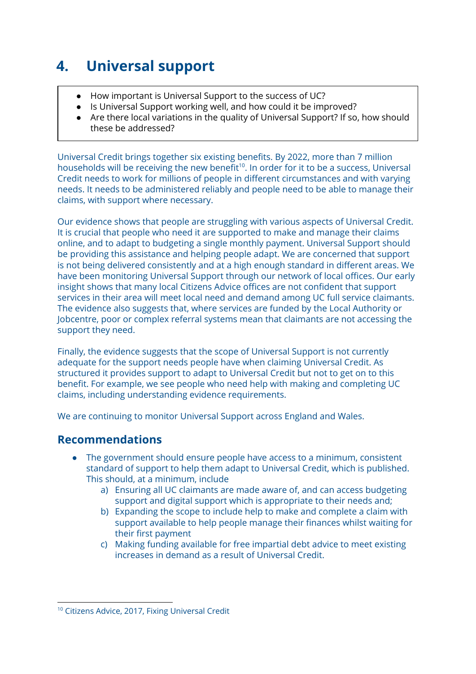# **4. Universal support**

- How important is Universal Support to the success of UC?
- Is Universal Support working well, and how could it be improved?
- Are there local variations in the quality of Universal Support? If so, how should these be addressed?

Universal Credit brings together six existing benefits. By 2022, more than 7 million households will be receiving the new benefit $^{10}$ . In order for it to be a success, Universal Credit needs to work for millions of people in different circumstances and with varying needs. It needs to be administered reliably and people need to be able to manage their claims, with support where necessary.

Our evidence shows that people are struggling with various aspects of Universal Credit. It is crucial that people who need it are supported to make and manage their claims online, and to adapt to budgeting a single monthly payment. Universal Support should be providing this assistance and helping people adapt. We are concerned that support is not being delivered consistently and at a high enough standard in different areas. We have been monitoring Universal Support through our network of local offices. Our early insight shows that many local Citizens Advice offices are not confident that support services in their area will meet local need and demand among UC full service claimants. The evidence also suggests that, where services are funded by the Local Authority or Jobcentre, poor or complex referral systems mean that claimants are not accessing the support they need.

Finally, the evidence suggests that the scope of Universal Support is not currently adequate for the support needs people have when claiming Universal Credit. As structured it provides support to adapt to Universal Credit but not to get on to this benefit. For example, we see people who need help with making and completing UC claims, including understanding evidence requirements.

We are continuing to monitor Universal Support across England and Wales.

## **Recommendations**

- The government should ensure people have access to a minimum, consistent standard of support to help them adapt to Universal Credit, which is published. This should, at a minimum, include
	- a) Ensuring all UC claimants are made aware of, and can access budgeting support and digital support which is appropriate to their needs and;
	- b) Expanding the scope to include help to make and complete a claim with support available to help people manage their finances whilst waiting for their first payment
	- c) Making funding available for free impartial debt advice to meet existing increases in demand as a result of Universal Credit.

<sup>&</sup>lt;sup>10</sup> Citizens Advice, 2017, Fixing Universal Credit